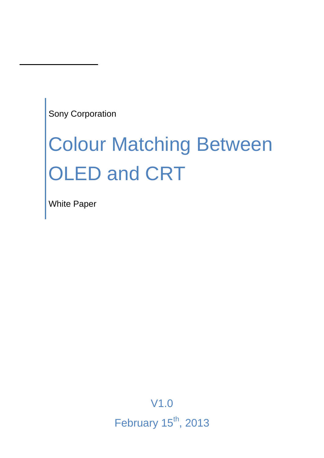Sony Corporation

# Colour Matching Between OLED and CRT

White Paper

V1.0 February  $15<sup>th</sup>$ , 2013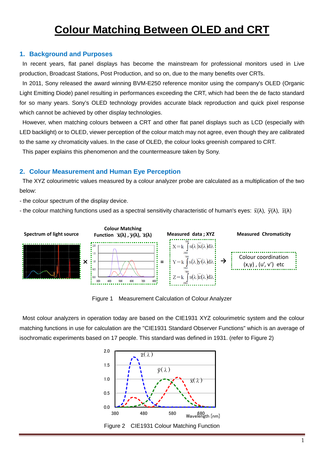# **Colour Matching Between OLED and CRT**

#### **1. Background and Purposes**

In recent years, flat panel displays has become the mainstream for professional monitors used in Live production, Broadcast Stations, Post Production, and so on, due to the many benefits over CRTs.

In 2011, Sony released the award winning BVM-E250 reference monitor using the company's OLED (Organic Light Emitting Diode) panel resulting in performances exceeding the CRT, which had been the de facto standard for so many years. Sony's OLED technology provides accurate black reproduction and quick pixel response which cannot be achieved by other display technologies.

However, when matching colours between a CRT and other flat panel displays such as LCD (especially with LED backlight) or to OLED, viewer perception of the colour match may not agree, even though they are calibrated to the same xy chromaticity values. In the case of OLED, the colour looks greenish compared to CRT.

This paper explains this phenomenon and the countermeasure taken by Sony.

#### **2. Colour Measurement and Human Eye Perception**

The XYZ colourimetric values measured by a colour analyzer probe are calculated as a multiplication of the two below:

- the colour spectrum of the display device.

- the colour matching functions used as a spectral sensitivity characteristic of human's eyes:  $\bar{x}(\lambda)$ ,  $\bar{y}(\lambda)$ ,  $\bar{z}(\lambda)$ 



Figure 1 Measurement Calculation of Colour Analyzer

Most colour analyzers in operation today are based on the CIE1931 XYZ colourimetric system and the colour matching functions in use for calculation are the "CIE1931 Standard Observer Functions" which is an average of isochromatic experiments based on 17 people. This standard was defined in 1931. (refer to Figure 2)

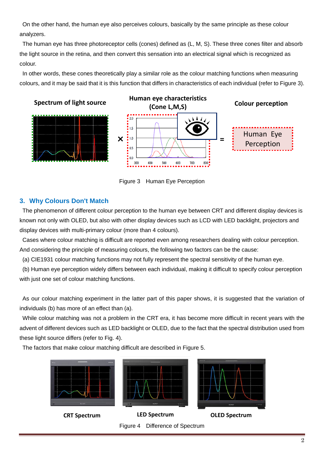On the other hand, the human eye also perceives colours, basically by the same principle as these colour analyzers.

The human eye has three photoreceptor cells (cones) defined as (L, M, S). These three cones filter and absorb the light source in the retina, and then convert this sensation into an electrical signal which is recognized as colour.

In other words, these cones theoretically play a similar role as the colour matching functions when measuring colours, and it may be said that it is this function that differs in characteristics of each individual (refer to Figure 3).



Figure 3 Human Eye Perception

#### **3. Why Colours Don't Match**

The phenomenon of different colour perception to the human eye between CRT and different display devices is known not only with OLED, but also with other display devices such as LCD with LED backlight, projectors and display devices with multi-primary colour (more than 4 colours).

Cases where colour matching is difficult are reported even among researchers dealing with colour perception. And considering the principle of measuring colours, the following two factors can be the cause:

(a) CIE1931 colour matching functions may not fully represent the spectral sensitivity of the human eye.

(b) Human eye perception widely differs between each individual, making it difficult to specify colour perception with just one set of colour matching functions.

As our colour matching experiment in the latter part of this paper shows, it is suggested that the variation of individuals (b) has more of an effect than (a).

While colour matching was not a problem in the CRT era, it has become more difficult in recent years with the advent of different devices such as LED backlight or OLED, due to the fact that the spectral distribution used from these light source differs (refer to Fig. 4).

The factors that make colour matching difficult are described in Figure 5.

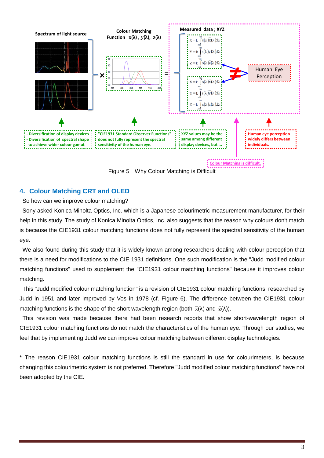

Figure 5 Why Colour Matching is Difficult

### **4. Colour Matching CRT and OLED**

So how can we improve colour matching?

Sony asked Konica Minolta Optics, Inc. which is a Japanese colourimetric measurement manufacturer, for their help in this study. The study of Konica Minolta Optics, Inc. also suggests that the reason why colours don't match is because the CIE1931 colour matching functions does not fully represent the spectral sensitivity of the human eye.

We also found during this study that it is widely known among researchers dealing with colour perception that there is a need for modifications to the CIE 1931 definitions. One such modification is the "Judd modified colour matching functions" used to supplement the "CIE1931 colour matching functions" because it improves colour matching.

This "Judd modified colour matching function" is a revision of CIE1931 colour matching functions, researched by Judd in 1951 and later improved by Vos in 1978 (cf. Figure 6). The difference between the CIE1931 colour matching functions is the shape of the short wavelength region (both  $\bar{x}(\lambda)$  and  $\bar{z}(\lambda)$ ).

This revision was made because there had been research reports that show short-wavelength region of CIE1931 colour matching functions do not match the characteristics of the human eye. Through our studies, we feel that by implementing Judd we can improve colour matching between different display technologies.

\* The reason CIE1931 colour matching functions is still the standard in use for colourimeters, is because changing this colourimetric system is not preferred. Therefore "Judd modified colour matching functions" have not been adopted by the CIE.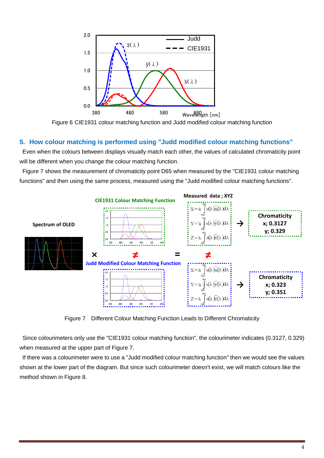

Figure 6 CIE1931 colour matching function and Judd modified colour matching function

#### **5. How colour matching is performed using "Judd modified colour matching functions"**

Even when the colours between displays visually match each other, the values of calculated chromaticity point will be different when you change the colour matching function.

Figure 7 shows the measurement of chromaticity point D65 when measured by the "CIE1931 colour matching functions" and then using the same process, measured using the "Judd modified colour matching functions".



Figure 7 Different Colour Matching Function Leads to Different Chromaticity

Since colourimeters only use the "CIE1931 colour matching function", the colourimeter indicates (0.3127, 0.329) when measured at the upper part of Figure 7.

If there was a colourimeter were to use a "Judd modified colour matching function" then we would see the values shown at the lower part of the diagram. But since such colourimeter doesn't exist, we will match colours like the method shown in Figure 8.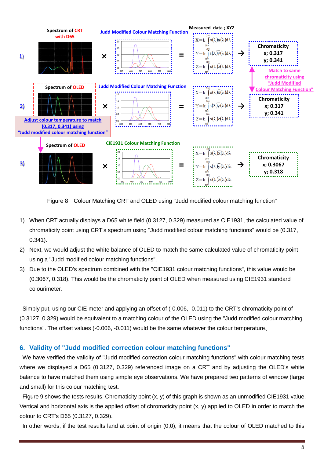

Figure 8 Colour Matching CRT and OLED using "Judd modified colour matching function"

- 1) When CRT actually displays a D65 white field (0.3127, 0.329) measured as CIE1931, the calculated value of chromaticity point using CRT's spectrum using "Judd modified colour matching functions" would be (0.317, 0.341).
- 2) Next, we would adjust the white balance of OLED to match the same calculated value of chromaticity point using a "Judd modified colour matching functions".
- 3) Due to the OLED's spectrum combined with the "CIE1931 colour matching functions", this value would be (0.3067, 0.318). This would be the chromaticity point of OLED when measured using CIE1931 standard colourimeter.

Simply put, using our CIE meter and applying an offset of (-0.006, -0.011) to the CRT's chromaticity point of (0.3127, 0.329) would be equivalent to a matching colour of the OLED using the "Judd modified colour matching functions". The offset values (-0.006, -0.011) would be the same whatever the colour temperature.

#### **6. Validity of "Judd modified correction colour matching functions"**

We have verified the validity of "Judd modified correction colour matching functions" with colour matching tests where we displayed a D65 (0.3127, 0.329) referenced image on a CRT and by adjusting the OLED's white balance to have matched them using simple eye observations. We have prepared two patterns of window (large and small) for this colour matching test.

Figure 9 shows the tests results. Chromaticity point (x, y) of this graph is shown as an unmodified CIE1931 value. Vertical and horizontal axis is the applied offset of chromaticity point (x, y) applied to OLED in order to match the colour to CRT's D65 (0.3127, 0.329).

In other words, if the test results land at point of origin (0,0), it means that the colour of OLED matched to this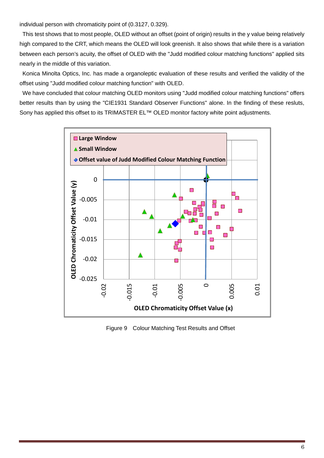individual person with chromaticity point of (0.3127, 0.329).

This test shows that to most people, OLED without an offset (point of origin) results in the y value being relatively high compared to the CRT, which means the OLED will look greenish. It also shows that while there is a variation between each person's acuity, the offset of OLED with the "Judd modified colour matching functions" applied sits nearly in the middle of this variation.

Konica Minolta Optics, Inc. has made a organoleptic evaluation of these results and verified the validity of the offset using "Judd modified colour matching function" with OLED.

We have concluded that colour matching OLED monitors using "Judd modified colour matching functions" offers better results than by using the "CIE1931 Standard Observer Functions" alone. In the finding of these resluts, Sony has applied this offset to its TRIMASTER EL<sup>™</sup> OLED monitor factory white point adjustments.



Figure 9 Colour Matching Test Results and Offset